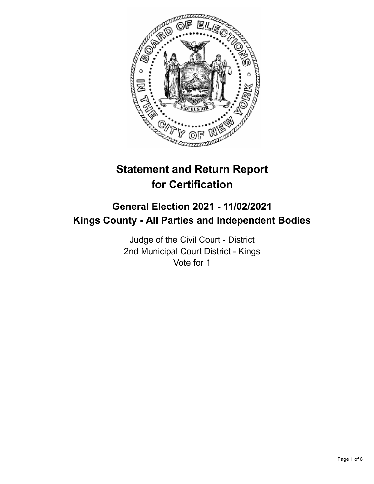

# **Statement and Return Report for Certification**

## **General Election 2021 - 11/02/2021 Kings County - All Parties and Independent Bodies**

Judge of the Civil Court - District 2nd Municipal Court District - Kings Vote for 1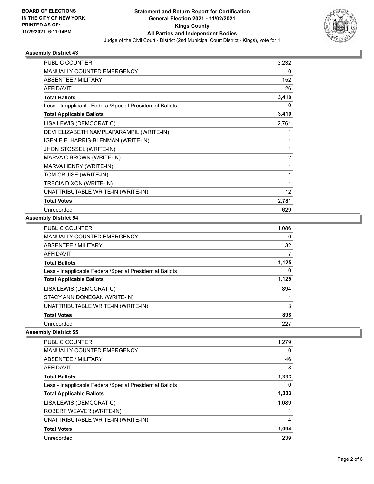

## **Assembly District 43**

| PUBLIC COUNTER                                           | 3,232             |
|----------------------------------------------------------|-------------------|
| MANUALLY COUNTED EMERGENCY                               | 0                 |
| <b>ABSENTEE / MILITARY</b>                               | 152               |
| <b>AFFIDAVIT</b>                                         | 26                |
| <b>Total Ballots</b>                                     | 3,410             |
| Less - Inapplicable Federal/Special Presidential Ballots | 0                 |
| <b>Total Applicable Ballots</b>                          | 3,410             |
| LISA LEWIS (DEMOCRATIC)                                  | 2,761             |
| DEVI ELIZABETH NAMPLAPARAMPIL (WRITE-IN)                 | 1                 |
| IGENIE F. HARRIS-BLENMAN (WRITE-IN)                      | 1                 |
| JHON STOSSEL (WRITE-IN)                                  | 1                 |
| MARVA C BROWN (WRITE-IN)                                 | $\overline{2}$    |
| MARVA HENRY (WRITE-IN)                                   | 1                 |
| TOM CRUISE (WRITE-IN)                                    | 1                 |
| TRECIA DIXON (WRITE-IN)                                  | 1                 |
| UNATTRIBUTABLE WRITE-IN (WRITE-IN)                       | $12 \overline{ }$ |
| <b>Total Votes</b>                                       | 2,781             |
| Unrecorded                                               | 629               |

### **Assembly District 54**

| <b>PUBLIC COUNTER</b>                                    | 1,086    |
|----------------------------------------------------------|----------|
| <b>MANUALLY COUNTED EMERGENCY</b>                        | 0        |
| ABSENTEE / MILITARY                                      | 32       |
| <b>AFFIDAVIT</b>                                         |          |
| <b>Total Ballots</b>                                     | 1,125    |
| Less - Inapplicable Federal/Special Presidential Ballots | $\Omega$ |
| <b>Total Applicable Ballots</b>                          | 1,125    |
| LISA LEWIS (DEMOCRATIC)                                  | 894      |
| STACY ANN DONEGAN (WRITE-IN)                             |          |
| UNATTRIBUTABLE WRITE-IN (WRITE-IN)                       | 3        |
| <b>Total Votes</b>                                       | 898      |
| Unrecorded                                               | 227      |

#### **Assembly District 55**

| <b>PUBLIC COUNTER</b>                                    | 1,279 |
|----------------------------------------------------------|-------|
| <b>MANUALLY COUNTED EMERGENCY</b>                        | 0     |
| ABSENTEE / MILITARY                                      | 46    |
| AFFIDAVIT                                                | 8     |
| <b>Total Ballots</b>                                     | 1,333 |
| Less - Inapplicable Federal/Special Presidential Ballots | 0     |
| <b>Total Applicable Ballots</b>                          | 1,333 |
| LISA LEWIS (DEMOCRATIC)                                  | 1,089 |
| ROBERT WEAVER (WRITE-IN)                                 |       |
| UNATTRIBUTABLE WRITE-IN (WRITE-IN)                       | 4     |
| <b>Total Votes</b>                                       | 1,094 |
| Unrecorded                                               | 239   |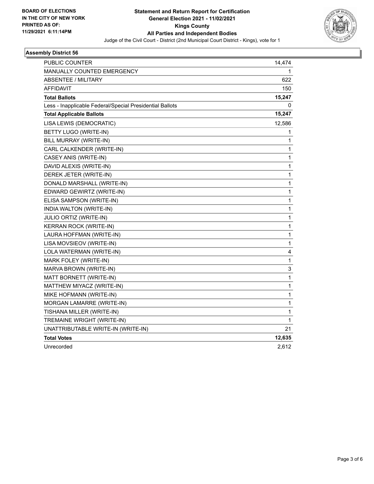

## **Assembly District 56**

| PUBLIC COUNTER                                           | 14,474       |
|----------------------------------------------------------|--------------|
| <b>MANUALLY COUNTED EMERGENCY</b>                        | 1            |
| ABSENTEE / MILITARY                                      | 622          |
| <b>AFFIDAVIT</b>                                         | 150          |
| <b>Total Ballots</b>                                     | 15,247       |
| Less - Inapplicable Federal/Special Presidential Ballots | 0            |
| <b>Total Applicable Ballots</b>                          | 15,247       |
| LISA LEWIS (DEMOCRATIC)                                  | 12,586       |
| BETTY LUGO (WRITE-IN)                                    | 1            |
| BILL MURRAY (WRITE-IN)                                   | 1            |
| CARL CALKENDER (WRITE-IN)                                | 1            |
| CASEY ANIS (WRITE-IN)                                    | 1            |
| DAVID ALEXIS (WRITE-IN)                                  | 1            |
| DEREK JETER (WRITE-IN)                                   | 1            |
| DONALD MARSHALL (WRITE-IN)                               | 1            |
| EDWARD GEWIRTZ (WRITE-IN)                                | 1            |
| ELISA SAMPSON (WRITE-IN)                                 | 1            |
| INDIA WALTON (WRITE-IN)                                  | 1            |
| JULIO ORTIZ (WRITE-IN)                                   | 1            |
| KERRAN ROCK (WRITE-IN)                                   | $\mathbf{1}$ |
| LAURA HOFFMAN (WRITE-IN)                                 | 1            |
| LISA MOVSIEOV (WRITE-IN)                                 | 1            |
| LOLA WATERMAN (WRITE-IN)                                 | 4            |
| MARK FOLEY (WRITE-IN)                                    | 1            |
| MARVA BROWN (WRITE-IN)                                   | 3            |
| MATT BORNETT (WRITE-IN)                                  | $\mathbf{1}$ |
| MATTHEW MIYACZ (WRITE-IN)                                | 1            |
| MIKE HOFMANN (WRITE-IN)                                  | 1            |
| MORGAN LAMARRE (WRITE-IN)                                | 1            |
| TISHANA MILLER (WRITE-IN)                                | 1            |
| TREMAINE WRIGHT (WRITE-IN)                               | 1            |
| UNATTRIBUTABLE WRITE-IN (WRITE-IN)                       | 21           |
| <b>Total Votes</b>                                       | 12,635       |
| Unrecorded                                               | 2,612        |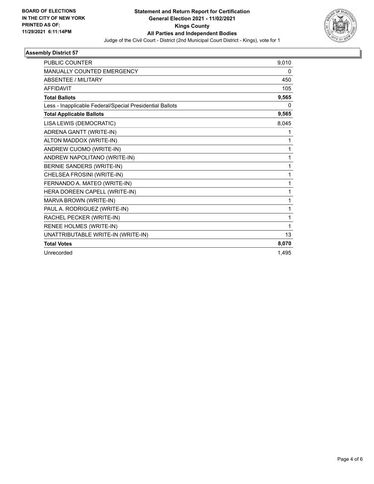

## **Assembly District 57**

| <b>PUBLIC COUNTER</b>                                    | 9,010 |
|----------------------------------------------------------|-------|
| <b>MANUALLY COUNTED EMERGENCY</b>                        | 0     |
| <b>ABSENTEE / MILITARY</b>                               | 450   |
| <b>AFFIDAVIT</b>                                         | 105   |
| <b>Total Ballots</b>                                     | 9,565 |
| Less - Inapplicable Federal/Special Presidential Ballots | 0     |
| <b>Total Applicable Ballots</b>                          | 9,565 |
| LISA LEWIS (DEMOCRATIC)                                  | 8,045 |
| ADRENA GANTT (WRITE-IN)                                  | 1     |
| ALTON MADDOX (WRITE-IN)                                  | 1     |
| ANDREW CUOMO (WRITE-IN)                                  | 1     |
| ANDREW NAPOLITANO (WRITE-IN)                             | 1     |
| BERNIE SANDERS (WRITE-IN)                                | 1     |
| CHELSEA FROSINI (WRITE-IN)                               | 1     |
| FERNANDO A. MATEO (WRITE-IN)                             | 1     |
| HERA DOREEN CAPELL (WRITE-IN)                            | 1     |
| MARVA BROWN (WRITE-IN)                                   | 1     |
| PAUL A. RODRIGUEZ (WRITE-IN)                             | 1     |
| RACHEL PECKER (WRITE-IN)                                 | 1     |
| RENEE HOLMES (WRITE-IN)                                  | 1     |
| UNATTRIBUTABLE WRITE-IN (WRITE-IN)                       | 13    |
| <b>Total Votes</b>                                       | 8,070 |
| Unrecorded                                               | 1,495 |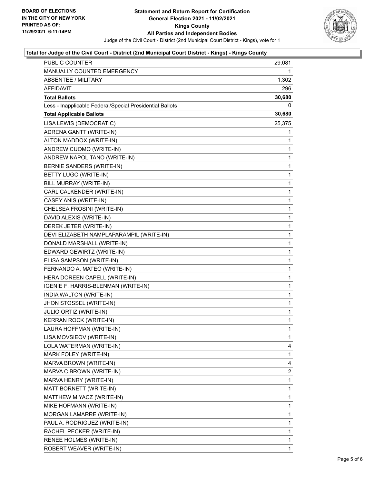

## **Total for Judge of the Civil Court - District (2nd Municipal Court District - Kings) - Kings County**

| PUBLIC COUNTER                                           | 29,081         |
|----------------------------------------------------------|----------------|
| <b>MANUALLY COUNTED EMERGENCY</b>                        | 1.             |
| <b>ABSENTEE / MILITARY</b>                               | 1,302          |
| AFFIDAVIT                                                | 296            |
| <b>Total Ballots</b>                                     | 30,680         |
| Less - Inapplicable Federal/Special Presidential Ballots | 0              |
| <b>Total Applicable Ballots</b>                          | 30,680         |
| LISA LEWIS (DEMOCRATIC)                                  | 25,375         |
| ADRENA GANTT (WRITE-IN)                                  | 1              |
| ALTON MADDOX (WRITE-IN)                                  | 1              |
| ANDREW CUOMO (WRITE-IN)                                  | 1              |
| ANDREW NAPOLITANO (WRITE-IN)                             | 1              |
| BERNIE SANDERS (WRITE-IN)                                | 1              |
| BETTY LUGO (WRITE-IN)                                    | 1              |
| BILL MURRAY (WRITE-IN)                                   | 1              |
| CARL CALKENDER (WRITE-IN)                                | 1              |
| CASEY ANIS (WRITE-IN)                                    | 1              |
| CHELSEA FROSINI (WRITE-IN)                               | 1              |
| DAVID ALEXIS (WRITE-IN)                                  | 1              |
| DEREK JETER (WRITE-IN)                                   | 1              |
| DEVI ELIZABETH NAMPLAPARAMPIL (WRITE-IN)                 | 1              |
| DONALD MARSHALL (WRITE-IN)                               | 1              |
| EDWARD GEWIRTZ (WRITE-IN)                                | 1              |
| ELISA SAMPSON (WRITE-IN)                                 | 1              |
| FERNANDO A. MATEO (WRITE-IN)                             | 1              |
| HERA DOREEN CAPELL (WRITE-IN)                            | 1              |
| IGENIE F. HARRIS-BLENMAN (WRITE-IN)                      | 1              |
| INDIA WALTON (WRITE-IN)                                  | 1              |
| JHON STOSSEL (WRITE-IN)                                  | 1              |
| JULIO ORTIZ (WRITE-IN)                                   | 1              |
| KERRAN ROCK (WRITE-IN)                                   | $\mathbf{1}$   |
| LAURA HOFFMAN (WRITE-IN)                                 | 1              |
| LISA MOVSIEOV (WRITE-IN)                                 | 1              |
| LOLA WATERMAN (WRITE-IN)                                 | 4              |
| MARK FOLEY (WRITE-IN)                                    | 1              |
| MARVA BROWN (WRITE-IN)                                   | 4              |
| MARVA C BROWN (WRITE-IN)                                 | $\overline{c}$ |
| MARVA HENRY (WRITE-IN)                                   | 1              |
| MATT BORNETT (WRITE-IN)                                  | 1              |
| MATTHEW MIYACZ (WRITE-IN)                                | 1              |
| MIKE HOFMANN (WRITE-IN)                                  | 1              |
| MORGAN LAMARRE (WRITE-IN)                                | 1              |
| PAUL A. RODRIGUEZ (WRITE-IN)                             | 1              |
| RACHEL PECKER (WRITE-IN)                                 | 1              |
| RENEE HOLMES (WRITE-IN)                                  | 1              |
| ROBERT WEAVER (WRITE-IN)                                 | 1              |